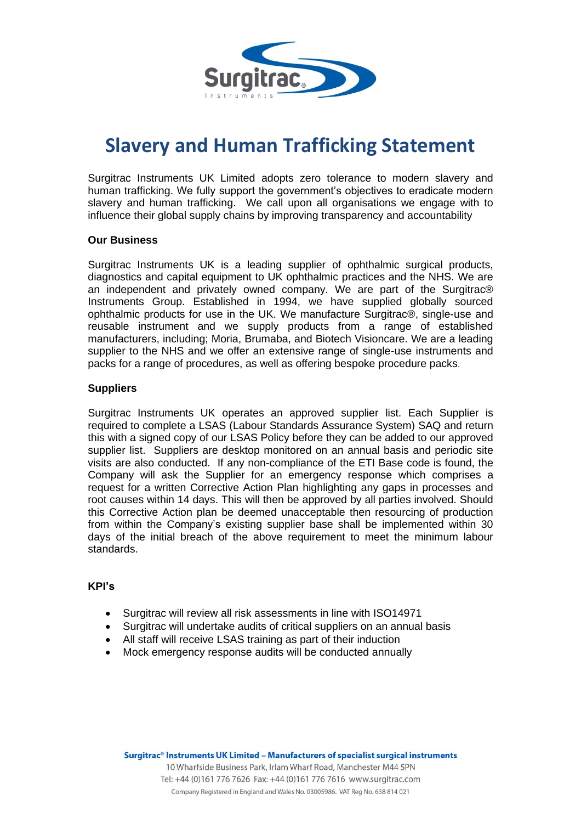

# **Slavery and Human Trafficking Statement**

Surgitrac Instruments UK Limited adopts zero tolerance to modern slavery and human trafficking. We fully support the government's objectives to eradicate modern slavery and human trafficking. We call upon all organisations we engage with to influence their global supply chains by improving transparency and accountability

### **Our Business**

Surgitrac Instruments UK is a leading supplier of ophthalmic surgical products, diagnostics and capital equipment to UK ophthalmic practices and the NHS. We are an independent and privately owned company. We are part of the Surgitrac® Instruments Group. Established in 1994, we have supplied globally sourced ophthalmic products for use in the UK. We manufacture Surgitrac®, single-use and reusable instrument and we supply products from a range of established manufacturers, including; Moria, Brumaba, and Biotech Visioncare. We are a leading supplier to the NHS and we offer an extensive range of single-use instruments and packs for a range of procedures, as well as offering bespoke procedure packs.

### **Suppliers**

Surgitrac Instruments UK operates an approved supplier list. Each Supplier is required to complete a LSAS (Labour Standards Assurance System) SAQ and return this with a signed copy of our LSAS Policy before they can be added to our approved supplier list. Suppliers are desktop monitored on an annual basis and periodic site visits are also conducted. If any non-compliance of the ETI Base code is found, the Company will ask the Supplier for an emergency response which comprises a request for a written Corrective Action Plan highlighting any gaps in processes and root causes within 14 days. This will then be approved by all parties involved. Should this Corrective Action plan be deemed unacceptable then resourcing of production from within the Company's existing supplier base shall be implemented within 30 days of the initial breach of the above requirement to meet the minimum labour standards.

## **KPI's**

- Surgitrac will review all risk assessments in line with ISO14971
- Surgitrac will undertake audits of critical suppliers on an annual basis
- All staff will receive LSAS training as part of their induction
- Mock emergency response audits will be conducted annually